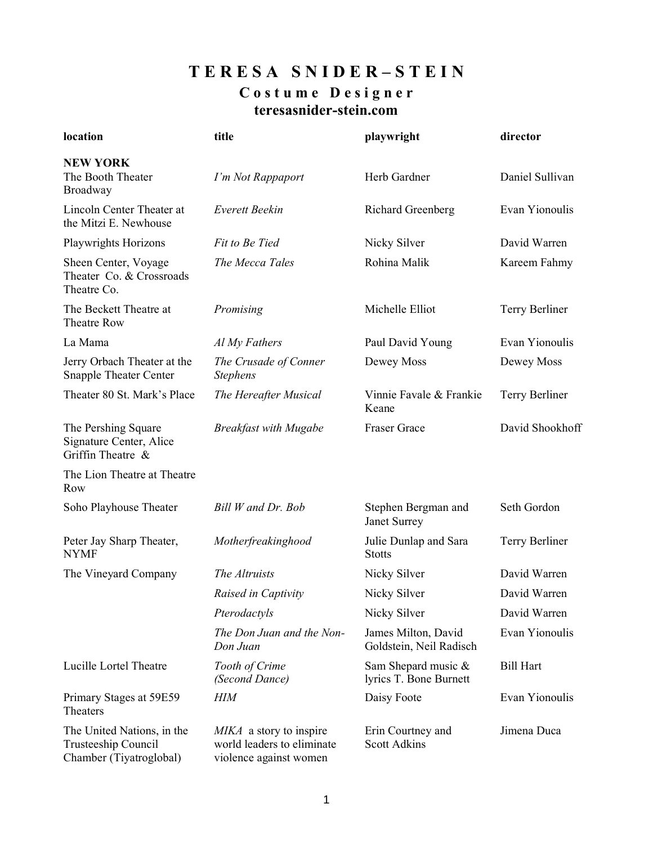# **T E R E S A S N I D E R – S T E I N C o s t u m e D e s i g n e r teresasnider-stein.com**

| location                                                                     | title                                                                           | playwright                                     | director         |
|------------------------------------------------------------------------------|---------------------------------------------------------------------------------|------------------------------------------------|------------------|
| <b>NEW YORK</b><br>The Booth Theater<br>Broadway                             | I'm Not Rappaport                                                               | Herb Gardner                                   | Daniel Sullivan  |
| Lincoln Center Theater at<br>the Mitzi E. Newhouse                           | Everett Beekin                                                                  | Richard Greenberg                              | Evan Yionoulis   |
| Playwrights Horizons                                                         | Fit to Be Tied                                                                  | Nicky Silver                                   | David Warren     |
| Sheen Center, Voyage<br>Theater Co. & Crossroads<br>Theatre Co.              | The Mecca Tales                                                                 | Rohina Malik                                   | Kareem Fahmy     |
| The Beckett Theatre at<br><b>Theatre Row</b>                                 | Promising                                                                       | Michelle Elliot                                | Terry Berliner   |
| La Mama                                                                      | Al My Fathers                                                                   | Paul David Young                               | Evan Yionoulis   |
| Jerry Orbach Theater at the<br><b>Snapple Theater Center</b>                 | The Crusade of Conner<br><b>Stephens</b>                                        | Dewey Moss                                     | Dewey Moss       |
| Theater 80 St. Mark's Place                                                  | The Hereafter Musical                                                           | Vinnie Favale & Frankie<br>Keane               | Terry Berliner   |
| The Pershing Square<br>Signature Center, Alice<br>Griffin Theatre &          | <b>Breakfast with Mugabe</b>                                                    | <b>Fraser Grace</b>                            | David Shookhoff  |
| The Lion Theatre at Theatre<br>Row                                           |                                                                                 |                                                |                  |
| Soho Playhouse Theater                                                       | Bill W and Dr. Bob                                                              | Stephen Bergman and<br>Janet Surrey            | Seth Gordon      |
| Peter Jay Sharp Theater,<br><b>NYMF</b>                                      | Motherfreakinghood                                                              | Julie Dunlap and Sara<br><b>Stotts</b>         | Terry Berliner   |
| The Vineyard Company                                                         | The Altruists                                                                   | Nicky Silver                                   | David Warren     |
|                                                                              | Raised in Captivity                                                             | Nicky Silver                                   | David Warren     |
|                                                                              | Pterodactyls                                                                    | Nicky Silver                                   | David Warren     |
|                                                                              | The Don Juan and the Non-<br>Don Juan                                           | James Milton, David<br>Goldstein, Neil Radisch | Evan Yionoulis   |
| Lucille Lortel Theatre                                                       | Tooth of Crime<br>(Second Dance)                                                | Sam Shepard music &<br>lyrics T. Bone Burnett  | <b>Bill Hart</b> |
| Primary Stages at 59E59<br>Theaters                                          | <b>HIM</b>                                                                      | Daisy Foote                                    | Evan Yionoulis   |
| The United Nations, in the<br>Trusteeship Council<br>Chamber (Tiyatroglobal) | MIKA a story to inspire<br>world leaders to eliminate<br>violence against women | Erin Courtney and<br><b>Scott Adkins</b>       | Jimena Duca      |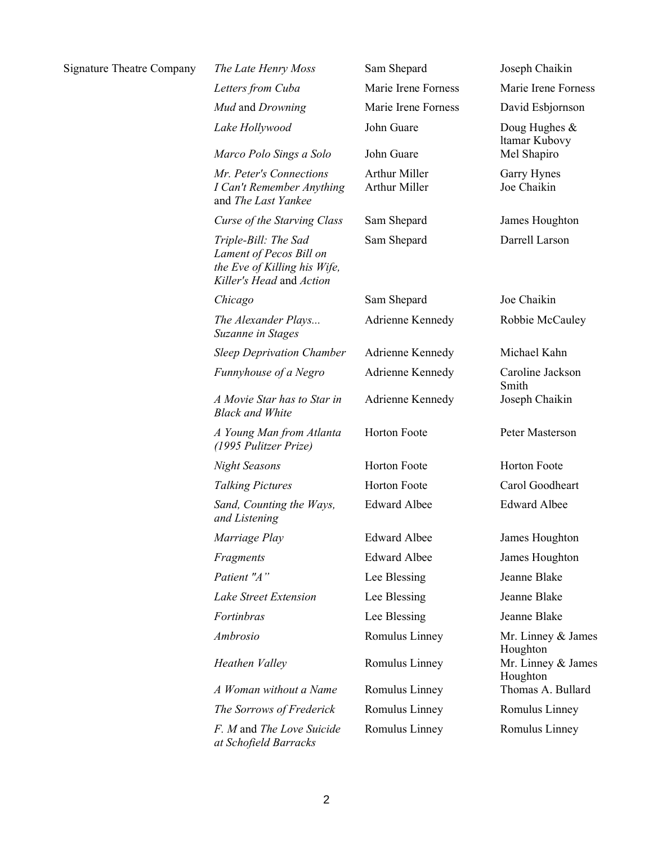| <b>Signature Theatre Company</b> | The Late Henry Moss                                                                                         | Sam Shepard                    | Joseph Chaikin                 |
|----------------------------------|-------------------------------------------------------------------------------------------------------------|--------------------------------|--------------------------------|
|                                  | Letters from Cuba                                                                                           | Marie Irene Forness            | Marie Irene Forness            |
|                                  | Mud and Drowning                                                                                            | Marie Irene Forness            | David Esbjornson               |
|                                  | Lake Hollywood                                                                                              | John Guare                     | Doug Hughes &<br>ltamar Kubovy |
|                                  | Marco Polo Sings a Solo                                                                                     | John Guare                     | Mel Shapiro                    |
|                                  | Mr. Peter's Connections<br>I Can't Remember Anything<br>and The Last Yankee                                 | Arthur Miller<br>Arthur Miller | Garry Hynes<br>Joe Chaikin     |
|                                  | Curse of the Starving Class                                                                                 | Sam Shepard                    | James Houghton                 |
|                                  | Triple-Bill: The Sad<br>Lament of Pecos Bill on<br>the Eve of Killing his Wife,<br>Killer's Head and Action | Sam Shepard                    | Darrell Larson                 |
|                                  | Chicago                                                                                                     | Sam Shepard                    | Joe Chaikin                    |
|                                  | The Alexander Plays<br><b>Suzanne in Stages</b>                                                             | Adrienne Kennedy               | Robbie McCauley                |
|                                  | <b>Sleep Deprivation Chamber</b>                                                                            | Adrienne Kennedy               | Michael Kahn                   |
|                                  | Funnyhouse of a Negro                                                                                       | Adrienne Kennedy               | Caroline Jackson<br>Smith      |
|                                  | A Movie Star has to Star in<br><b>Black and White</b>                                                       | Adrienne Kennedy               | Joseph Chaikin                 |
|                                  | A Young Man from Atlanta<br>(1995 Pulitzer Prize)                                                           | Horton Foote                   | Peter Masterson                |
|                                  | <b>Night Seasons</b>                                                                                        | Horton Foote                   | Horton Foote                   |
|                                  | <b>Talking Pictures</b>                                                                                     | Horton Foote                   | Carol Goodheart                |
|                                  | Sand, Counting the Ways,<br>and Listening                                                                   | <b>Edward Albee</b>            | <b>Edward Albee</b>            |
|                                  | Marriage Play                                                                                               | Edward Albee                   | James Houghton                 |
|                                  | Fragments                                                                                                   | <b>Edward Albee</b>            | James Houghton                 |
|                                  | Patient "A"                                                                                                 | Lee Blessing                   | Jeanne Blake                   |
|                                  | Lake Street Extension                                                                                       | Lee Blessing                   | Jeanne Blake                   |
|                                  | Fortinbras                                                                                                  | Lee Blessing                   | Jeanne Blake                   |
|                                  | Ambrosio                                                                                                    | Romulus Linney                 | Mr. Linney & James<br>Houghton |
|                                  | Heathen Valley                                                                                              | Romulus Linney                 | Mr. Linney & James<br>Houghton |
|                                  | A Woman without a Name                                                                                      | Romulus Linney                 | Thomas A. Bullard              |
|                                  | The Sorrows of Frederick                                                                                    | Romulus Linney                 | Romulus Linney                 |
|                                  | F. M and The Love Suicide<br>at Schofield Barracks                                                          | Romulus Linney                 | Romulus Linney                 |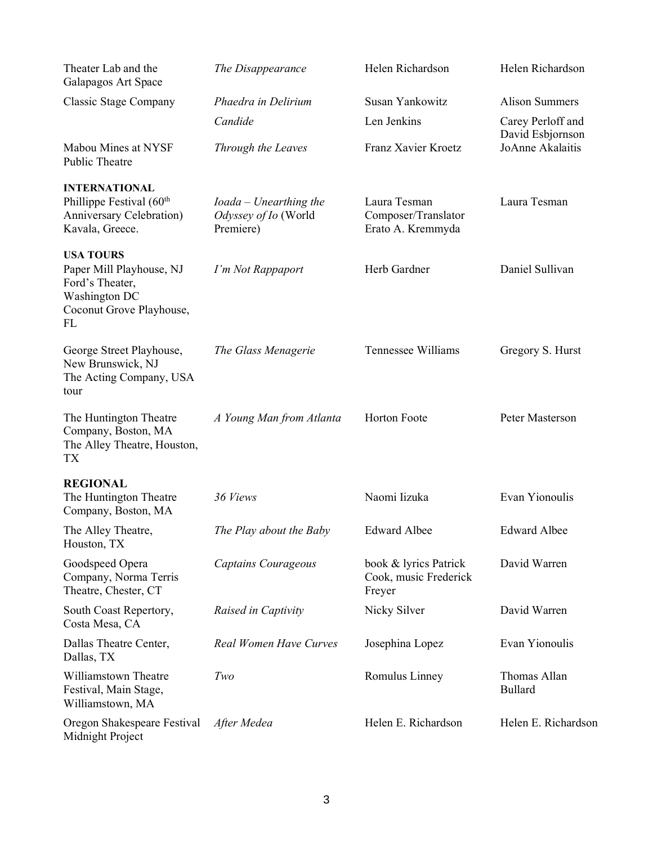| Theater Lab and the<br>Galapagos Art Space                                                                         | The Disappearance                                           | Helen Richardson                                         | Helen Richardson                                          |
|--------------------------------------------------------------------------------------------------------------------|-------------------------------------------------------------|----------------------------------------------------------|-----------------------------------------------------------|
| Classic Stage Company                                                                                              | Phaedra in Delirium                                         | Susan Yankowitz                                          | <b>Alison Summers</b>                                     |
| Mabou Mines at NYSF                                                                                                | Candide<br>Through the Leaves                               | Len Jenkins<br>Franz Xavier Kroetz                       | Carey Perloff and<br>David Esbjornson<br>JoAnne Akalaitis |
| Public Theatre                                                                                                     |                                                             |                                                          |                                                           |
| <b>INTERNATIONAL</b><br>Phillippe Festival (60 <sup>th</sup><br>Anniversary Celebration)<br>Kavala, Greece.        | $Ioada-Unearthing$ the<br>Odyssey of Io (World<br>Premiere) | Laura Tesman<br>Composer/Translator<br>Erato A. Kremmyda | Laura Tesman                                              |
| <b>USA TOURS</b><br>Paper Mill Playhouse, NJ<br>Ford's Theater,<br>Washington DC<br>Coconut Grove Playhouse,<br>FL | I'm Not Rappaport                                           | Herb Gardner                                             | Daniel Sullivan                                           |
| George Street Playhouse,<br>New Brunswick, NJ<br>The Acting Company, USA<br>tour                                   | The Glass Menagerie                                         | Tennessee Williams                                       | Gregory S. Hurst                                          |
| The Huntington Theatre<br>Company, Boston, MA<br>The Alley Theatre, Houston,<br>TX                                 | A Young Man from Atlanta                                    | Horton Foote                                             | Peter Masterson                                           |
| <b>REGIONAL</b>                                                                                                    |                                                             |                                                          |                                                           |
| The Huntington Theatre<br>Company, Boston, MA                                                                      | 36 Views                                                    | Naomi Iizuka                                             | Evan Yionoulis                                            |
| The Alley Theatre,<br>Houston, TX                                                                                  | The Play about the Baby                                     | <b>Edward Albee</b>                                      | <b>Edward Albee</b>                                       |
| Goodspeed Opera<br>Company, Norma Terris<br>Theatre, Chester, CT                                                   | <b>Captains Courageous</b>                                  | book & lyrics Patrick<br>Cook, music Frederick<br>Freyer | David Warren                                              |
| South Coast Repertory,<br>Costa Mesa, CA                                                                           | Raised in Captivity                                         | Nicky Silver                                             | David Warren                                              |
| Dallas Theatre Center,<br>Dallas, TX                                                                               | Real Women Have Curves                                      | Josephina Lopez                                          | Evan Yionoulis                                            |
| Williamstown Theatre<br>Festival, Main Stage,<br>Williamstown, MA                                                  | Two                                                         | Romulus Linney                                           | Thomas Allan<br><b>Bullard</b>                            |
| Oregon Shakespeare Festival<br>Midnight Project                                                                    | After Medea                                                 | Helen E. Richardson                                      | Helen E. Richardson                                       |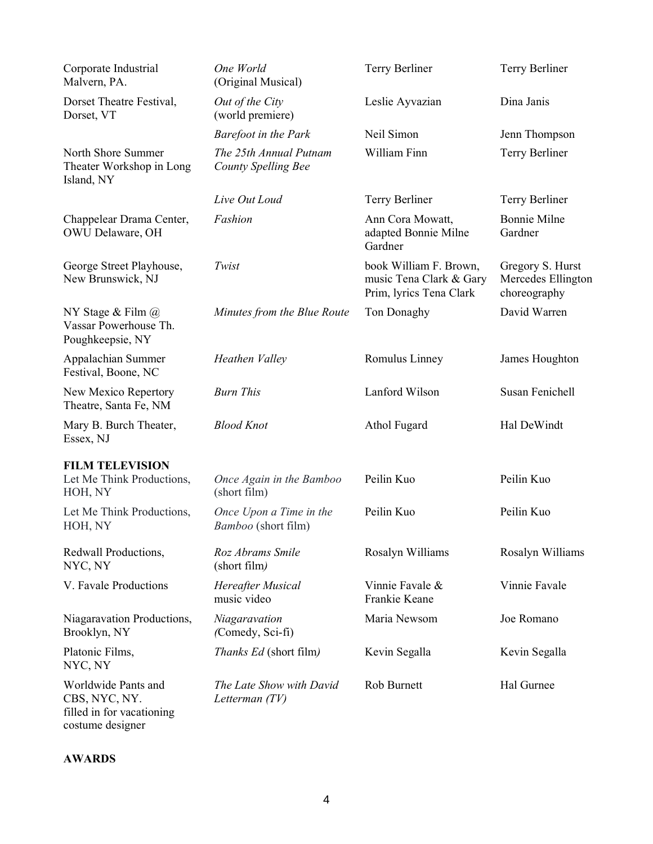| Corporate Industrial<br>Malvern, PA.                                                  | One World<br>(Original Musical)                      | Terry Berliner                                                               | Terry Berliner                                         |
|---------------------------------------------------------------------------------------|------------------------------------------------------|------------------------------------------------------------------------------|--------------------------------------------------------|
| Dorset Theatre Festival,<br>Dorset, VT                                                | Out of the City<br>(world premiere)                  | Leslie Ayvazian                                                              | Dina Janis                                             |
|                                                                                       | <b>Barefoot in the Park</b>                          | Neil Simon                                                                   | Jenn Thompson                                          |
| North Shore Summer<br>Theater Workshop in Long<br>Island, NY                          | The 25th Annual Putnam<br><b>County Spelling Bee</b> | William Finn                                                                 | Terry Berliner                                         |
|                                                                                       | Live Out Loud                                        | Terry Berliner                                                               | Terry Berliner                                         |
| Chappelear Drama Center,<br>OWU Delaware, OH                                          | Fashion                                              | Ann Cora Mowatt,<br>adapted Bonnie Milne<br>Gardner                          | <b>Bonnie Milne</b><br>Gardner                         |
| George Street Playhouse,<br>New Brunswick, NJ                                         | Twist                                                | book William F. Brown,<br>music Tena Clark & Gary<br>Prim, lyrics Tena Clark | Gregory S. Hurst<br>Mercedes Ellington<br>choreography |
| NY Stage & Film $\omega$<br>Vassar Powerhouse Th.<br>Poughkeepsie, NY                 | Minutes from the Blue Route                          | Ton Donaghy                                                                  | David Warren                                           |
| Appalachian Summer<br>Festival, Boone, NC                                             | Heathen Valley                                       | Romulus Linney                                                               | James Houghton                                         |
| New Mexico Repertory<br>Theatre, Santa Fe, NM                                         | <b>Burn This</b>                                     | Lanford Wilson                                                               | Susan Fenichell                                        |
| Mary B. Burch Theater,<br>Essex, NJ                                                   | <b>Blood Knot</b>                                    | Athol Fugard                                                                 | Hal DeWindt                                            |
| <b>FILM TELEVISION</b>                                                                |                                                      |                                                                              |                                                        |
| Let Me Think Productions,<br>HOH, NY                                                  | Once Again in the Bamboo<br>(short film)             | Peilin Kuo                                                                   | Peilin Kuo                                             |
| Let Me Think Productions,<br>HOH, NY                                                  | Once Upon a Time in the<br>Bamboo (short film)       | Peilin Kuo                                                                   | Peilin Kuo                                             |
| Redwall Productions,<br>NYC, NY                                                       | Roz Abrams Smile<br>(short film)                     | Rosalyn Williams                                                             | Rosalyn Williams                                       |
| V. Favale Productions                                                                 | Hereafter Musical<br>music video                     | Vinnie Favale &<br>Frankie Keane                                             | Vinnie Favale                                          |
| Niagaravation Productions,<br>Brooklyn, NY                                            | Niagaravation<br>(Comedy, Sci-fi)                    | Maria Newsom                                                                 | Joe Romano                                             |
| Platonic Films,<br>NYC, NY                                                            | <i>Thanks Ed</i> (short film)                        | Kevin Segalla                                                                | Kevin Segalla                                          |
| Worldwide Pants and<br>CBS, NYC, NY.<br>filled in for vacationing<br>costume designer | The Late Show with David<br>Letterman $(TV)$         | Rob Burnett                                                                  | Hal Gurnee                                             |

## **AWARDS**